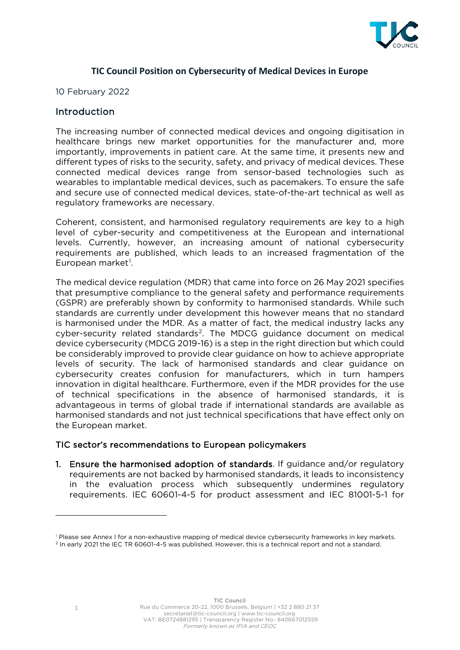

### **TIC Council Position on Cybersecurity of Medical Devices in Europe**

10 February 2022

### **Introduction**

The increasing number of connected medical devices and ongoing digitisation in healthcare brings new market opportunities for the manufacturer and, more importantly, improvements in patient care. At the same time, it presents new and different types of risks to the security, safety, and privacy of medical devices. These connected medical devices range from sensor-based technologies such as wearables to implantable medical devices, such as pacemakers. To ensure the safe and secure use of connected medical devices, state-of-the-art technical as well as regulatory frameworks are necessary.

Coherent, consistent, and harmonised regulatory requirements are key to a high level of cyber-security and competitiveness at the European and international levels. Currently, however, an increasing amount of national cybersecurity requirements are published, which leads to an increased fragmentation of the European market<sup>[1](#page-0-0)</sup>.

The medical device regulation (MDR) that came into force on 26 May 2021 specifies that presumptive compliance to the general safety and performance requirements (GSPR) are preferably shown by conformity to harmonised standards. While such standards are currently under development this however means that no standard is harmonised under the MDR. As a matter of fact, the medical industry lacks any cyber-security related standards<sup>2</sup>. The MDCG guidance document on medical device cybersecurity (MDCG 2019-16) is a step in the right direction but which could be considerably improved to provide clear guidance on how to achieve appropriate levels of security. The lack of harmonised standards and clear guidance on cybersecurity creates confusion for manufacturers, which in turn hampers innovation in digital healthcare. Furthermore, even if the MDR provides for the use of technical specifications in the absence of harmonised standards, it is advantageous in terms of global trade if international standards are available as harmonised standards and not just technical specifications that have effect only on the European market.

#### TIC sector's recommendations to European policymakers

1. Ensure the harmonised adoption of standards. If guidance and/or regulatory requirements are not backed by harmonised standards, it leads to inconsistency in the evaluation process which subsequently undermines regulatory requirements. IEC 60601-4-5 for product assessment and IEC 81001-5-1 for

TIC Council

<span id="page-0-1"></span><span id="page-0-0"></span><sup>&</sup>lt;sup>1</sup> Please see Annex I for a non-exhaustive mapping of medical device cybersecurity frameworks in key markets. <sup>2</sup> In early 2021 the IEC TR 60601-4-5 was published. However, this is a technical report and not a standard.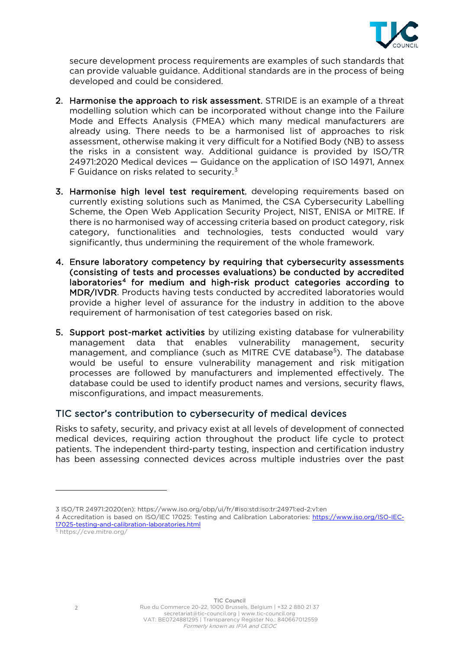

secure development process requirements are examples of such standards that can provide valuable guidance. Additional standards are in the process of being developed and could be considered.

- 2. Harmonise the approach to risk assessment. STRIDE is an example of a threat modelling solution which can be incorporated without change into the Failure Mode and Effects Analysis (FMEA) which many medical manufacturers are already using. There needs to be a harmonised list of approaches to risk assessment, otherwise making it very difficult for a Notified Body (NB) to assess the risks in a consistent way. Additional guidance is provided by ISO/TR 24971:2020 Medical devices — Guidance on the application of ISO 14971, Annex F Guidance on risks related to security. $3$
- 3. Harmonise high level test requirement, developing requirements based on currently existing solutions such as [Manimed,](https://teams.microsoft.com/l/file/f80f3c50-313f-4590-a51f-82695765c075?tenantId=a1109567-0815-4e1f-88af-e23555482aaa&fileType=pdf&objectUrl=https%3A%2F%2Ftuevsued.sharepoint.com%2Fteams%2FCyberSecurityMedicalDevices%2FFreigegebene%20Dokumente%2FGeneral%2FBSI%20-%20ManiMed%20Abschlussbericht.pdf&baseUrl=https%3A%2F%2Ftuevsued.sharepoint.com%2Fteams%2FCyberSecurityMedicalDevices&serviceName=teams&threadId=19:f745e9c449f246e5b368f96b0e96b10d@thread.tacv2&messageId=1612424695176&groupId=0001d6b8-39e0-4967-ae79-416c479b20cd) the CSA Cybersecurity Labelling Scheme, the Open Web Application Security Project, NIST, ENISA or MITRE. If there is no harmonised way of accessing criteria based on product category, risk category, functionalities and technologies, tests conducted would vary significantly, thus undermining the requirement of the whole framework.
- 4. Ensure laboratory competency by requiring that cybersecurity assessments (consisting of tests and processes evaluations) be conducted by accredited laboratories<sup>[4](#page-1-1)</sup> for medium and high-risk product categories according to MDR/IVDR. Products having tests conducted by accredited laboratories would provide a higher level of assurance for the industry in addition to the above requirement of harmonisation of test categories based on risk.
- 5. Support post-market activities by utilizing existing database for vulnerability management data that enables vulnerability management, security management, and compliance (such as MITRE CVE database<sup>[5](#page-1-2)</sup>). The database would be useful to ensure vulnerability management and risk mitigation processes are followed by manufacturers and implemented effectively. The database could be used to identify product names and versions, security flaws, misconfigurations, and impact measurements.

# TIC sector's contribution to cybersecurity of medical devices

Risks to safety, security, and privacy exist at all levels of development of connected medical devices, requiring action throughout the product life cycle to protect patients. The independent third-party testing, inspection and certification industry has been assessing connected devices across multiple industries over the past

<sup>3</sup> ISO/TR 24971:2020(en): https://www.iso.org/obp/ui/fr/#iso:std:iso:tr:24971:ed-2:v1:en

<span id="page-1-1"></span><span id="page-1-0"></span><sup>4</sup> Accreditation is based on ISO/IEC 17025: Testing and Calibration Laboratories: [https://www.iso.org/ISO-IEC-](https://www.iso.org/ISO-IEC-17025-testing-and-calibration-laboratories.html)[17025-testing-and-calibration-laboratories.html](https://www.iso.org/ISO-IEC-17025-testing-and-calibration-laboratories.html)

<span id="page-1-2"></span><sup>5</sup> https://cve.mitre.org/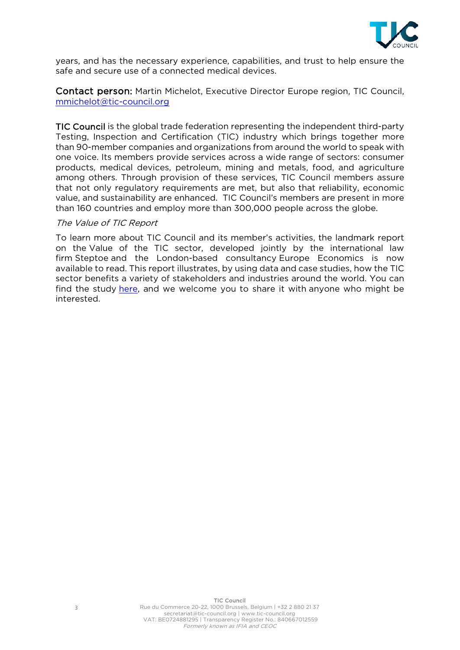

years, and has the necessary experience, capabilities, and trust to help ensure the safe and secure use of a connected medical devices.

Contact person: Martin Michelot, Executive Director Europe region, TIC Council, [mmichelot@tic-council.org](mailto:mmichelot@tic-council.org) 

TIC Council is the global trade federation representing the independent third-party Testing, Inspection and Certification (TIC) industry which brings together more than 90-member companies and organizations from around the world to speak with one voice. Its members provide services across a wide range of sectors: consumer products, medical devices, petroleum, mining and metals, food, and agriculture among others. Through provision of these services, TIC Council members assure that not only regulatory requirements are met, but also that reliability, economic value, and sustainability are enhanced. TIC Council's members are present in more than 160 countries and employ more than 300,000 people across the globe.

#### The Value of TIC Report

To learn more about TIC Council and its member's activities, the landmark report on the Value of the TIC sector, developed jointly by the international law firm Steptoe and the London-based consultancy Europe Economics is now available to read. This report illustrates, by using data and case studies, how the TIC sector benefits a variety of stakeholders and industries around the world. You can find the study [here,](https://www.tic-council.org/application/files/1216/2211/4719/Value_of_the_Testing_Inspection_and_Certification_Sector_-_2020-12-23_Final_report.pdf) and we welcome you to share it with anyone who might be interested.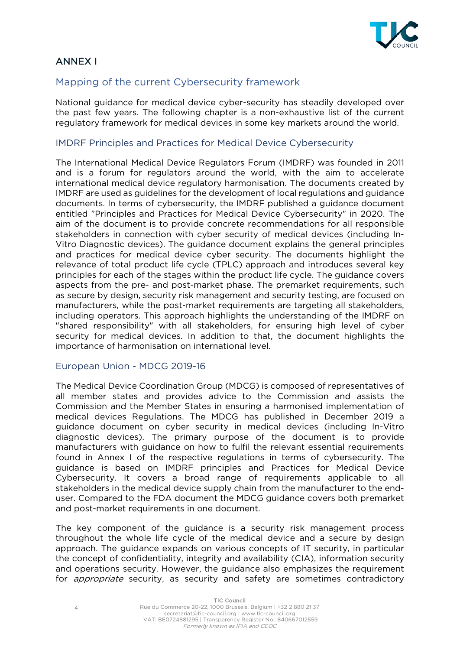

# ANNEX I

## Mapping of the current Cybersecurity framework

National guidance for medical device cyber-security has steadily developed over the past few years. The following chapter is a non-exhaustive list of the current regulatory framework for medical devices in some key markets around the world.

#### IMDRF Principles and Practices for Medical Device Cybersecurity

The International Medical Device Regulators Forum (IMDRF) was founded in 2011 and is a forum for regulators around the world, with the aim to accelerate international medical device regulatory harmonisation. The documents created by IMDRF are used as guidelines for the development of local regulations and guidance documents. In terms of cybersecurity, the IMDRF published a guidance document entitled "Principles and Practices for Medical Device Cybersecurity" in 2020. The aim of the document is to provide concrete recommendations for all responsible stakeholders in connection with cyber security of medical devices (including In-Vitro Diagnostic devices). The guidance document explains the general principles and practices for medical device cyber security. The documents highlight the relevance of total product life cycle (TPLC) approach and introduces several key principles for each of the stages within the product life cycle. The guidance covers aspects from the pre- and post-market phase. The premarket requirements, such as secure by design, security risk management and security testing, are focused on manufacturers, while the post-market requirements are targeting all stakeholders, including operators. This approach highlights the understanding of the IMDRF on "shared responsibility" with all stakeholders, for ensuring high level of cyber security for medical devices. In addition to that, the document highlights the importance of harmonisation on international level.

#### European Union - MDCG 2019-16

The Medical Device Coordination Group (MDCG) is composed of representatives of all member states and provides advice to the Commission and assists the Commission and the Member States in ensuring a harmonised implementation of medical devices Regulations. The MDCG has published in December 2019 a guidance document on cyber security in medical devices (including In-Vitro diagnostic devices). The primary purpose of the document is to provide manufacturers with guidance on how to fulfil the relevant essential requirements found in Annex I of the respective regulations in terms of cybersecurity. The guidance is based on IMDRF principles and Practices for Medical Device Cybersecurity. It covers a broad range of requirements applicable to all stakeholders in the medical device supply chain from the manufacturer to the enduser. Compared to the FDA document the MDCG guidance covers both premarket and post-market requirements in one document.

The key component of the guidance is a security risk management process throughout the whole life cycle of the medical device and a secure by design approach. The guidance expands on various concepts of IT security, in particular the concept of confidentiality, integrity and availability (CIA), information security and operations security. However, the guidance also emphasizes the requirement for *appropriate* security, as security and safety are sometimes contradictory

4

TIC Council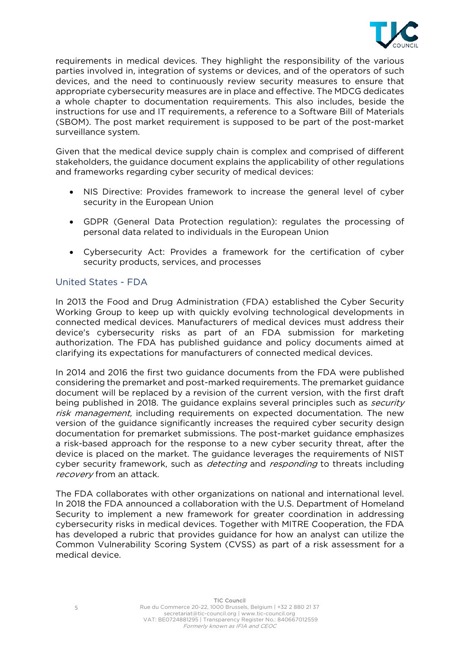

requirements in medical devices. They highlight the responsibility of the various parties involved in, integration of systems or devices, and of the operators of such devices, and the need to continuously review security measures to ensure that appropriate cybersecurity measures are in place and effective. The MDCG dedicates a whole chapter to documentation requirements. This also includes, beside the instructions for use and IT requirements, a reference to a Software Bill of Materials (SBOM). The post market requirement is supposed to be part of the post-market surveillance system.

Given that the medical device supply chain is complex and comprised of different stakeholders, the guidance document explains the applicability of other regulations and frameworks regarding cyber security of medical devices:

- NIS Directive: Provides framework to increase the general level of cyber security in the European Union
- GDPR (General Data Protection regulation): regulates the processing of personal data related to individuals in the European Union
- Cybersecurity Act: Provides a framework for the certification of cyber security products, services, and processes

#### United States - FDA

In 2013 the Food and Drug Administration (FDA) established the Cyber Security Working Group to keep up with quickly evolving technological developments in connected medical devices. Manufacturers of medical devices must address their device's cybersecurity risks as part of an FDA submission for marketing authorization. The FDA has published guidance and policy documents aimed at clarifying its expectations for manufacturers of connected medical devices.

In 2014 and 2016 the first two guidance documents from the FDA were published considering the premarket and post-marked requirements. The premarket guidance document will be replaced by a revision of the current version, with the first draft being published in 2018. The guidance explains several principles such as *security* risk management, including requirements on expected documentation. The new version of the guidance significantly increases the required cyber security design documentation for premarket submissions. The post-market guidance emphasizes a risk-based approach for the response to a new cyber security threat, after the device is placed on the market. The guidance leverages the requirements of NIST cyber security framework, such as *detecting* and *responding* to threats including recovery from an attack.

The FDA collaborates with other organizations on national and international level. In 2018 the FDA announced a collaboration with the U.S. Department of Homeland Security to implement a new framework for greater coordination in addressing cybersecurity risks in medical devices. Together with MITRE Cooperation, the FDA has developed a rubric that provides guidance for how an analyst can utilize the Common Vulnerability Scoring System (CVSS) as part of a risk assessment for a medical device.